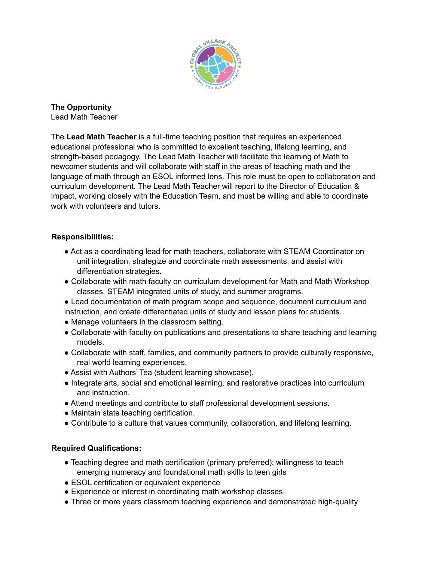

**The Opportunity** Lead Math Teacher

The **Lead Math Teacher** is a full-time teaching position that requires an experienced educational professional who is committed to excellent teaching, lifelong learning, and strength-based pedagogy. The Lead Math Teacher will facilitate the learning of Math to newcomer students and will collaborate with staff in the areas of teaching math and the language of math through an ESOL informed lens. This role must be open to collaboration and curriculum development. The Lead Math Teacher will report to the Director of Education & Impact, working closely with the Education Team, and must be willing and able to coordinate work with volunteers and tutors.

## **Responsibilities:**

- Act as a coordinating lead for math teachers, collaborate with STEAM Coordinator on unit integration, strategize and coordinate math assessments, and assist with differentiation strategies.
- Collaborate with math faculty on curriculum development for Math and Math Workshop classes, STEAM integrated units of study, and summer programs.
- Lead documentation of math program scope and sequence, document curriculum and instruction, and create differentiated units of study and lesson plans for students.
- Manage volunteers in the classroom setting.
- Collaborate with faculty on publications and presentations to share teaching and learning models.
- Collaborate with staff, families, and community partners to provide culturally responsive, real world learning experiences.
- Assist with Authors' Tea (student learning showcase).
- Integrate arts, social and emotional learning, and restorative practices into curriculum and instruction.
- Attend meetings and contribute to staff professional development sessions.
- Maintain state teaching certification.
- Contribute to a culture that values community, collaboration, and lifelong learning.

## **Required Qualifications:**

- Teaching degree and math certification (primary preferred); willingness to teach emerging numeracy and foundational math skills to teen girls
- ESOL certification or equivalent experience
- Experience or interest in coordinating math workshop classes
- Three or more years classroom teaching experience and demonstrated high-quality